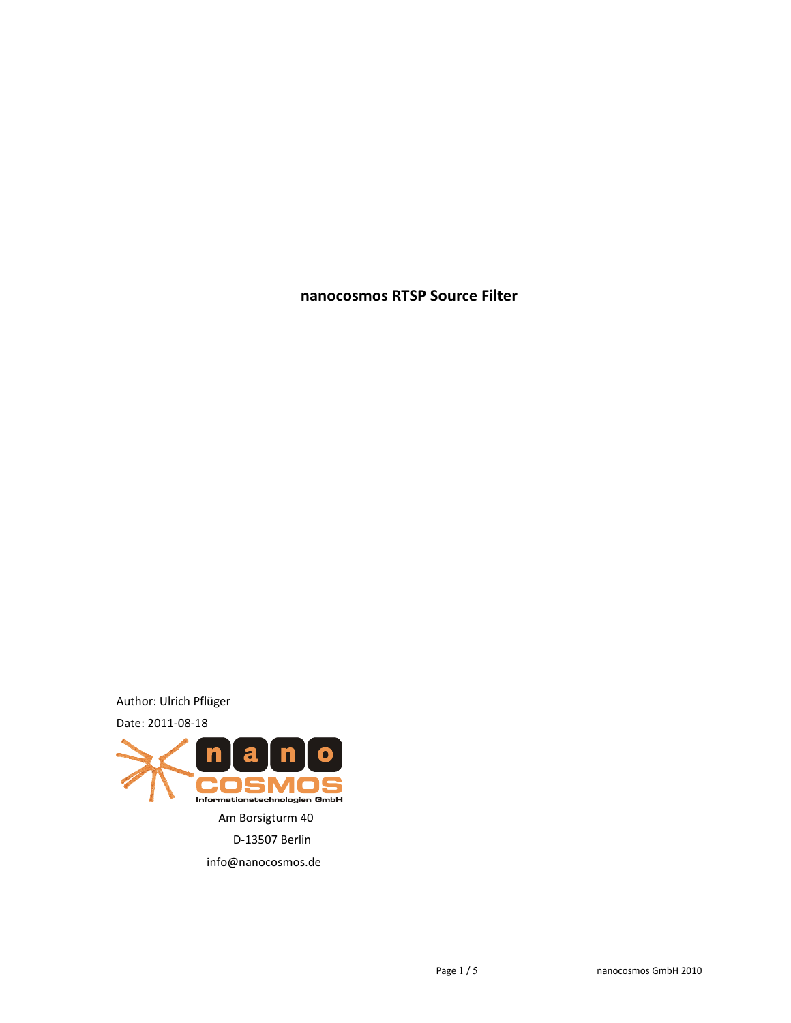**nanocosmos RTSP Source Filter**

Author: Ulrich Pflüger

Date: 2011-08-18

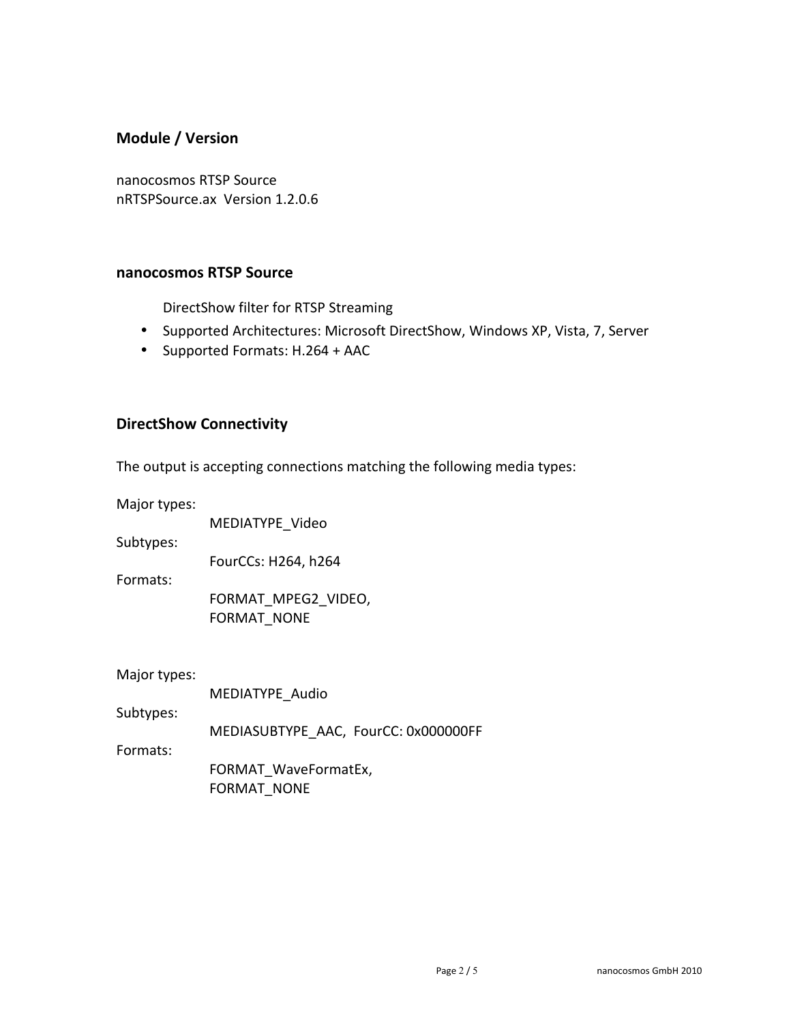# **Module / Version**

nanocosmos RTSP Source nRTSPSource.ax Version 1.2.0.6

#### **nanocosmos RTSP Source**

DirectShow filter for RTSP Streaming

- Supported Architectures: Microsoft DirectShow, Windows XP, Vista, 7, Server
- Supported Formats: H.264 + AAC

### **DirectShow Connectivity**

The output is accepting connections matching the following media types:

Major types:

MEDIATYPE\_Video

Subtypes:

FourCCs: H264, h264

Formats:

FORMAT\_MPEG2\_VIDEO, FORMAT\_NONE

Major types:

|           | MEDIATYPE Audio                      |
|-----------|--------------------------------------|
| Subtypes: |                                      |
|           | MEDIASUBTYPE AAC, FourCC: 0x000000FF |
| Formats:  |                                      |
|           | FORMAT WaveFormatEx,                 |
|           | <b>FORMAT NONE</b>                   |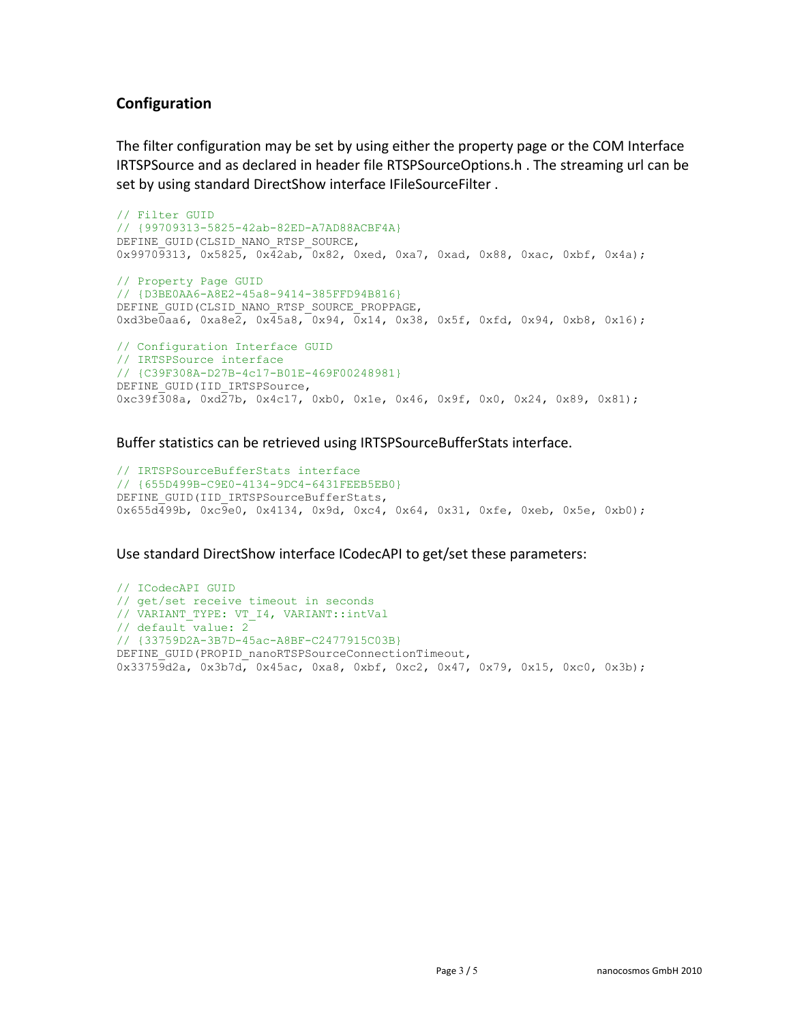# **Configuration**

The filter configuration may be set by using either the property page or the COM Interface IRTSPSource and as declared in header file RTSPSourceOptions.h . The streaming url can be set by using standard DirectShow interface IFileSourceFilter .

```
// Filter GUID
// {99709313-5825-42ab-82ED-A7AD88ACBF4A}
DEFINE_GUID(CLSID_NANO_RTSP_SOURCE,
0x99709313, 0x5825, 0x42ab, 0x82, 0xed, 0xa7, 0xad, 0x88, 0xac, 0xbf, 0x4a);
// Property Page GUID
// {D3BE0AA6-A8E2-45a8-9414-385FFD94B816}
DEFINE GUID(CLSID_NANO_RTSP_SOURCE_PROPPAGE,
0xd3be0aa6, 0xa8e2, 0x45a8, 0x94, 0x14, 0x38, 0x5f, 0xfd, 0x94, 0xb8, 0x16);
// Configuration Interface GUID
// IRTSPSource interface
// {C39F308A-D27B-4c17-B01E-469F00248981}
DEFINE_GUID(IID_IRTSPSource,
0xc39f308a, 0xd27b, 0x4c17, 0xb0, 0x1e, 0x46, 0x9f, 0x0, 0x24, 0x89, 0x81);
```
Buffer statistics can be retrieved using IRTSPSourceBufferStats interface.

```
// IRTSPSourceBufferStats interface
// {655D499B-C9E0-4134-9DC4-6431FEEB5EB0}
DEFINE GUID(IID IRTSPSourceBufferStats,
0x655d499b, 0xc9e0, 0x4134, 0x9d, 0xc4, 0x64, 0x31, 0xfe, 0xeb, 0x5e, 0xb0);
```
Use standard DirectShow interface ICodecAPI to get/set these parameters:

```
// ICodecAPI GUID
// get/set receive timeout in seconds
// VARIANT_TYPE: VT_I4, VARIANT::intVal
// default value: 2
// {33759D2A-3B7D-45ac-A8BF-C2477915C03B}
DEFINE GUID(PROPID_nanoRTSPSourceConnectionTimeout,
0x33759d2a, 0x3b7d, 0x45ac, 0xa8, 0xbf, 0xc2, 0x47, 0x79, 0x15, 0xc0, 0x3b);
```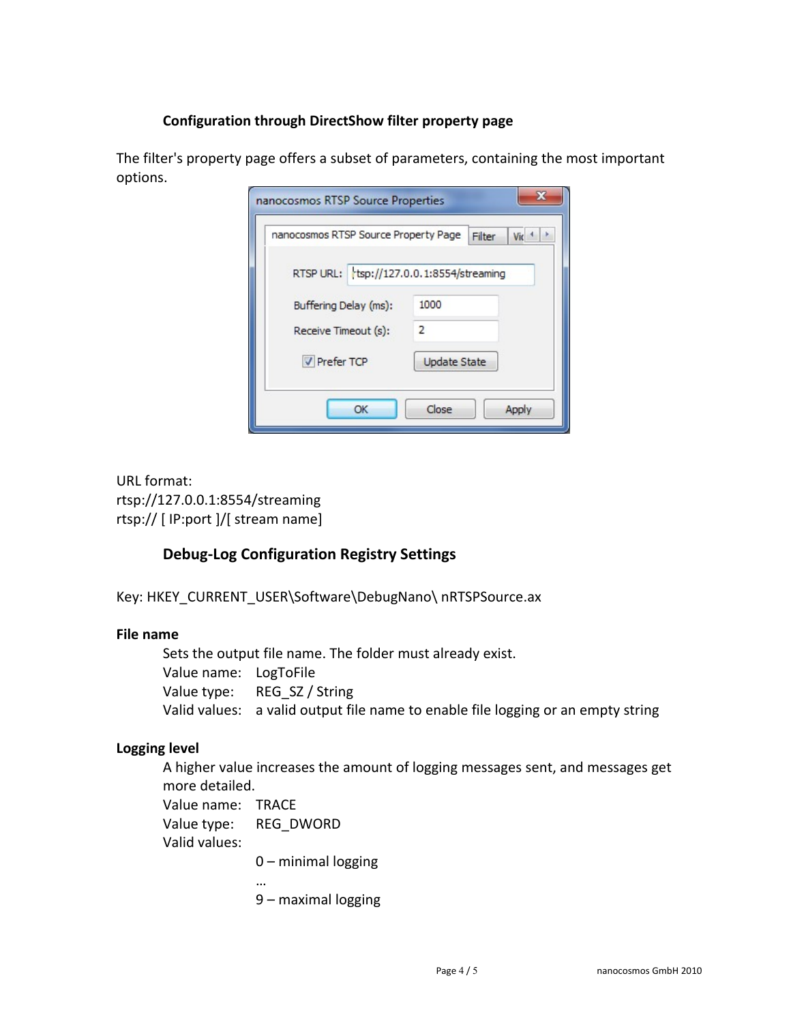## **Configuration through DirectShow filter property page**

| nanocosmos RTSP Source Property Page     | Filter              | Vic |
|------------------------------------------|---------------------|-----|
| RTSP URL: tsp://127.0.0.1:8554/streaming |                     |     |
| Buffering Delay (ms):                    | 1000                |     |
| Receive Timeout (s):                     | 2                   |     |
| <b>V</b> Prefer TCP                      | <b>Update State</b> |     |

The filter's property page offers a subset of parameters, containing the most important options.

URL format: rtsp://127.0.0.1:8554/streaming rtsp:// [ IP:port ]/[ stream name]

## **Debug-Log Configuration Registry Settings**

Key: HKEY\_CURRENT\_USER\Software\DebugNano\ nRTSPSource.ax

### **File name**

Sets the output file name. The folder must already exist. Value name: LogToFile Value type: REG\_SZ / String Valid values: a valid output file name to enable file logging or an empty string

### **Logging level**

A higher value increases the amount of logging messages sent, and messages get more detailed.

Value name: TRACE Value type: REG\_DWORD Valid values:

0 – minimal logging

…

9 – maximal logging